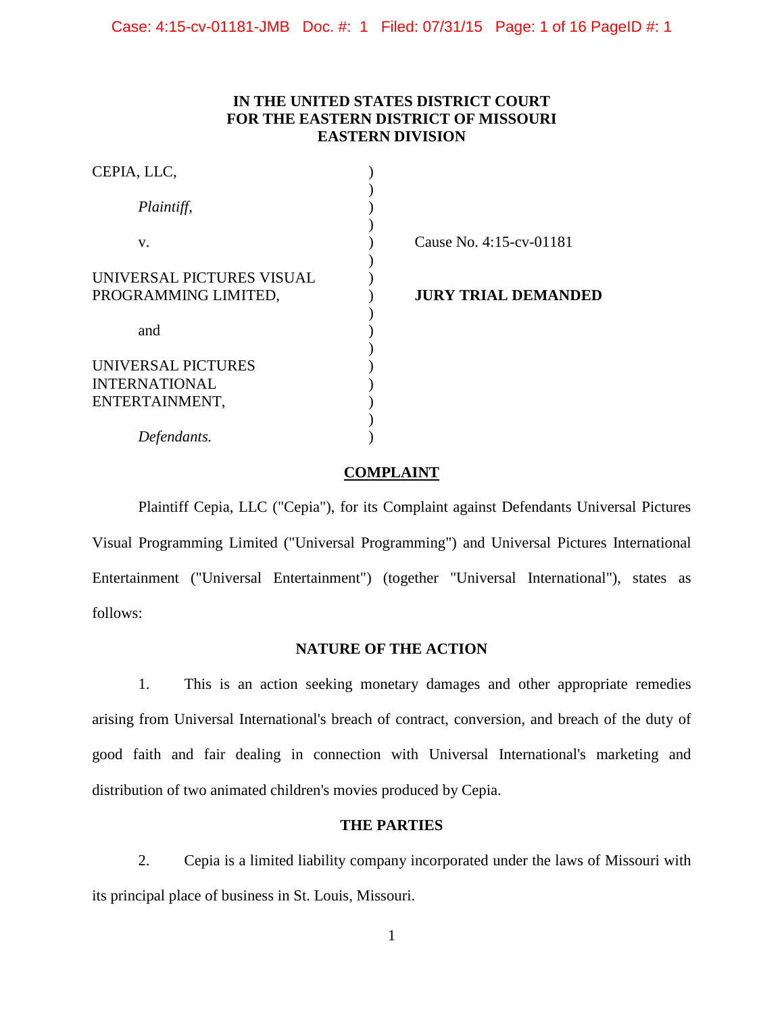# **IN THE UNITED STATES DISTRICT COURT FOR THE EASTERN DISTRICT OF MISSOURI EASTERN DIVISION**

| CEPIA, LLC,               |                            |
|---------------------------|----------------------------|
| Plaintiff,                |                            |
| V.                        | Cause No. 4:15-cv-01181    |
| UNIVERSAL PICTURES VISUAL |                            |
| PROGRAMMING LIMITED,      | <b>JURY TRIAL DEMANDED</b> |
|                           |                            |
| and                       |                            |
|                           |                            |
| UNIVERSAL PICTURES        |                            |
| <b>INTERNATIONAL</b>      |                            |
| ENTERTAINMENT,            |                            |
|                           |                            |
| Defendants.               |                            |

### **COMPLAINT**

 Plaintiff Cepia, LLC ("Cepia"), for its Complaint against Defendants Universal Pictures Visual Programming Limited ("Universal Programming") and Universal Pictures International Entertainment ("Universal Entertainment") (together "Universal International"), states as follows:

## **NATURE OF THE ACTION**

1. This is an action seeking monetary damages and other appropriate remedies arising from Universal International's breach of contract, conversion, and breach of the duty of good faith and fair dealing in connection with Universal International's marketing and distribution of two animated children's movies produced by Cepia.

## **THE PARTIES**

2. Cepia is a limited liability company incorporated under the laws of Missouri with its principal place of business in St. Louis, Missouri.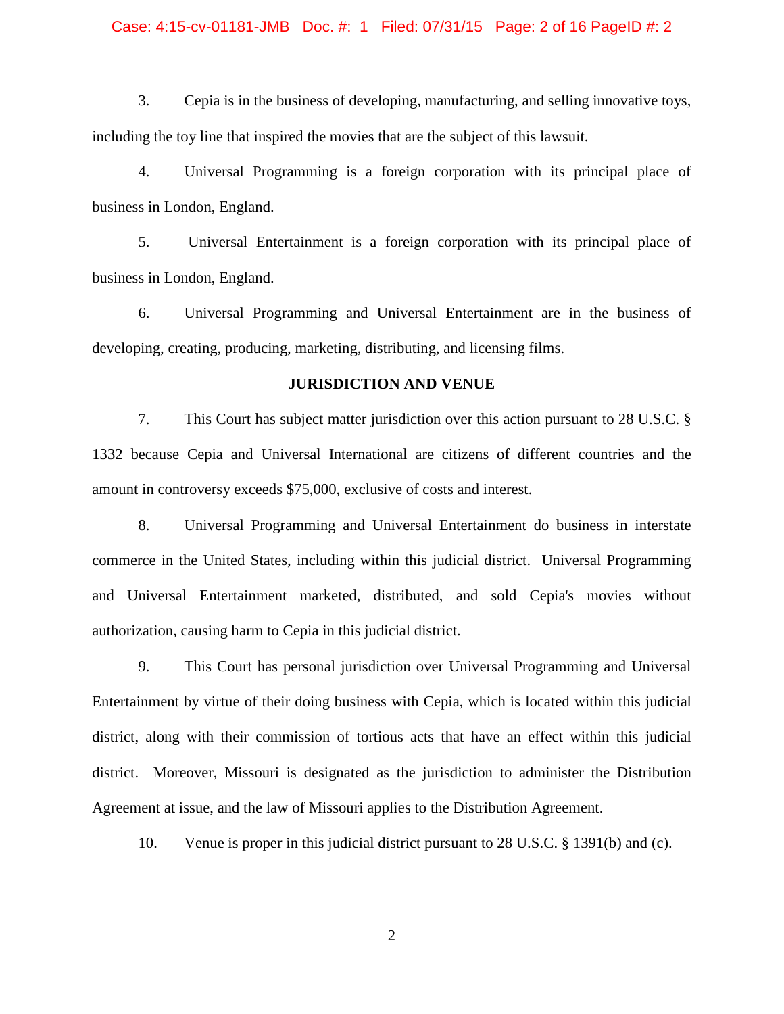### Case: 4:15-cv-01181-JMB Doc. #: 1 Filed: 07/31/15 Page: 2 of 16 PageID #: 2

3. Cepia is in the business of developing, manufacturing, and selling innovative toys, including the toy line that inspired the movies that are the subject of this lawsuit.

4. Universal Programming is a foreign corporation with its principal place of business in London, England.

5. Universal Entertainment is a foreign corporation with its principal place of business in London, England.

6. Universal Programming and Universal Entertainment are in the business of developing, creating, producing, marketing, distributing, and licensing films.

### **JURISDICTION AND VENUE**

7. This Court has subject matter jurisdiction over this action pursuant to 28 U.S.C. § 1332 because Cepia and Universal International are citizens of different countries and the amount in controversy exceeds \$75,000, exclusive of costs and interest.

8. Universal Programming and Universal Entertainment do business in interstate commerce in the United States, including within this judicial district. Universal Programming and Universal Entertainment marketed, distributed, and sold Cepia's movies without authorization, causing harm to Cepia in this judicial district.

9. This Court has personal jurisdiction over Universal Programming and Universal Entertainment by virtue of their doing business with Cepia, which is located within this judicial district, along with their commission of tortious acts that have an effect within this judicial district. Moreover, Missouri is designated as the jurisdiction to administer the Distribution Agreement at issue, and the law of Missouri applies to the Distribution Agreement.

10. Venue is proper in this judicial district pursuant to 28 U.S.C. § 1391(b) and (c).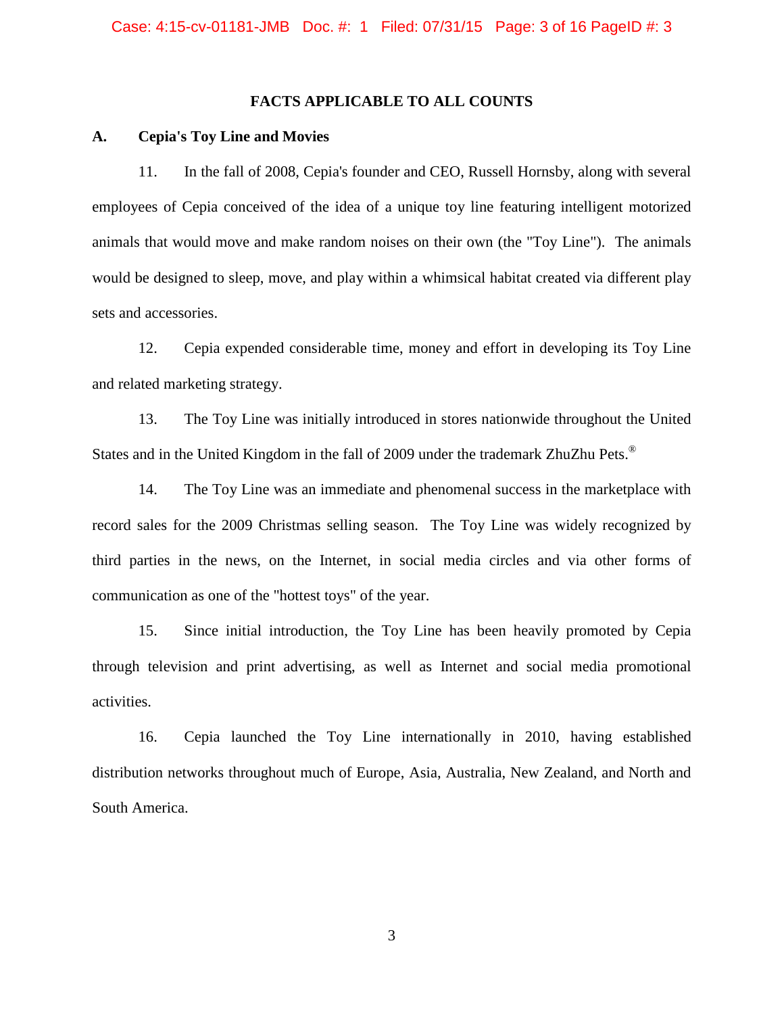### **FACTS APPLICABLE TO ALL COUNTS**

#### **A. Cepia's Toy Line and Movies**

11. In the fall of 2008, Cepia's founder and CEO, Russell Hornsby, along with several employees of Cepia conceived of the idea of a unique toy line featuring intelligent motorized animals that would move and make random noises on their own (the "Toy Line"). The animals would be designed to sleep, move, and play within a whimsical habitat created via different play sets and accessories.

12. Cepia expended considerable time, money and effort in developing its Toy Line and related marketing strategy.

13. The Toy Line was initially introduced in stores nationwide throughout the United States and in the United Kingdom in the fall of 2009 under the trademark ZhuZhu Pets.<sup>®</sup>

14. The Toy Line was an immediate and phenomenal success in the marketplace with record sales for the 2009 Christmas selling season. The Toy Line was widely recognized by third parties in the news, on the Internet, in social media circles and via other forms of communication as one of the "hottest toys" of the year.

15. Since initial introduction, the Toy Line has been heavily promoted by Cepia through television and print advertising, as well as Internet and social media promotional activities.

16. Cepia launched the Toy Line internationally in 2010, having established distribution networks throughout much of Europe, Asia, Australia, New Zealand, and North and South America.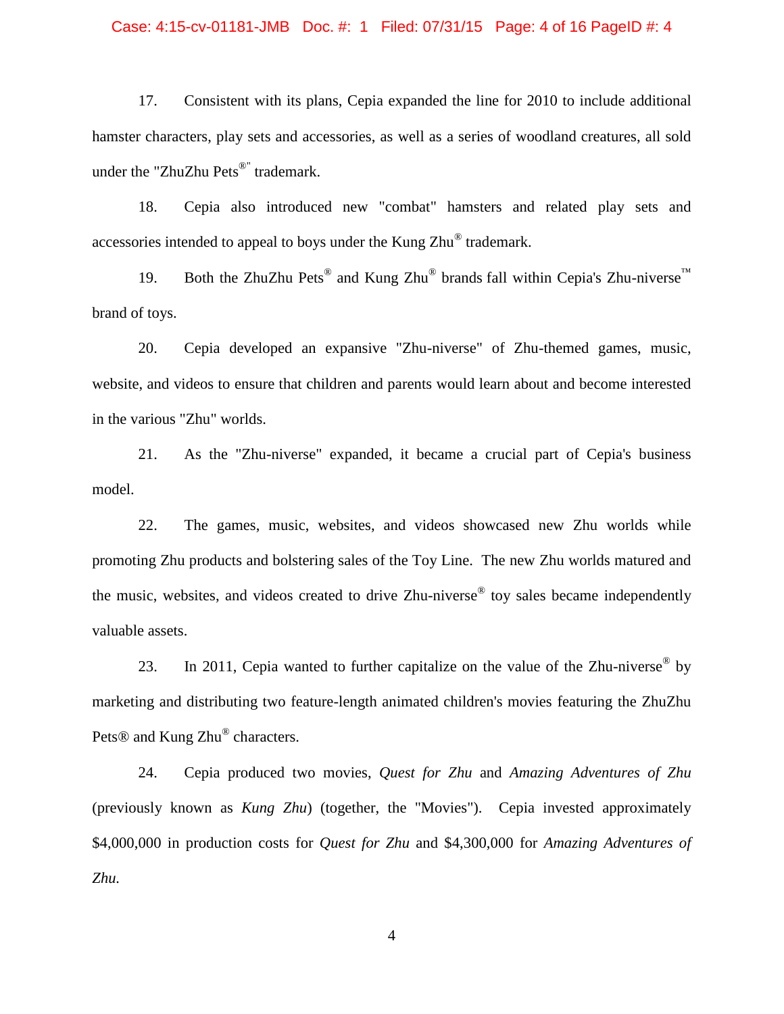### Case: 4:15-cv-01181-JMB Doc. #: 1 Filed: 07/31/15 Page: 4 of 16 PageID #: 4

17. Consistent with its plans, Cepia expanded the line for 2010 to include additional hamster characters, play sets and accessories, as well as a series of woodland creatures, all sold under the "ZhuZhu Pets<sup>®"</sup> trademark.

18. Cepia also introduced new "combat" hamsters and related play sets and accessories intended to appeal to boys under the Kung Zhu® trademark.

19. Both the ZhuZhu Pets<sup>®</sup> and Kung Zhu<sup>®</sup> brands fall within Cepia's Zhu-niverse<sup>™</sup> brand of toys.

20. Cepia developed an expansive "Zhu-niverse" of Zhu-themed games, music, website, and videos to ensure that children and parents would learn about and become interested in the various "Zhu" worlds.

21. As the "Zhu-niverse" expanded, it became a crucial part of Cepia's business model.

22. The games, music, websites, and videos showcased new Zhu worlds while promoting Zhu products and bolstering sales of the Toy Line. The new Zhu worlds matured and the music, websites, and videos created to drive Zhu-niverse<sup>®</sup> toy sales became independently valuable assets.

23. In 2011, Cepia wanted to further capitalize on the value of the Zhu-niverse<sup>®</sup> by marketing and distributing two feature-length animated children's movies featuring the ZhuZhu Pets<sup>®</sup> and Kung Zhu® characters.

24. Cepia produced two movies, *Quest for Zhu* and *Amazing Adventures of Zhu*  (previously known as *Kung Zhu*) (together, the "Movies"). Cepia invested approximately \$4,000,000 in production costs for *Quest for Zhu* and \$4,300,000 for *Amazing Adventures of Zhu.*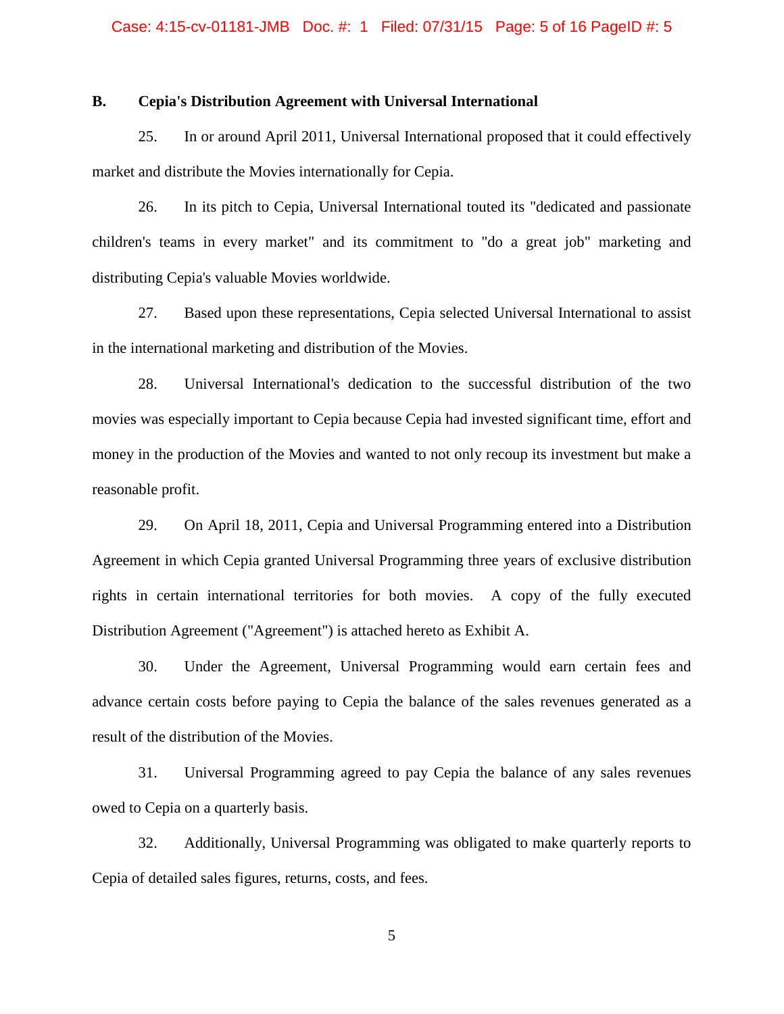### **B. Cepia's Distribution Agreement with Universal International**

25. In or around April 2011, Universal International proposed that it could effectively market and distribute the Movies internationally for Cepia.

26. In its pitch to Cepia, Universal International touted its "dedicated and passionate children's teams in every market" and its commitment to "do a great job" marketing and distributing Cepia's valuable Movies worldwide.

27. Based upon these representations, Cepia selected Universal International to assist in the international marketing and distribution of the Movies.

28. Universal International's dedication to the successful distribution of the two movies was especially important to Cepia because Cepia had invested significant time, effort and money in the production of the Movies and wanted to not only recoup its investment but make a reasonable profit.

29. On April 18, 2011, Cepia and Universal Programming entered into a Distribution Agreement in which Cepia granted Universal Programming three years of exclusive distribution rights in certain international territories for both movies. A copy of the fully executed Distribution Agreement ("Agreement") is attached hereto as Exhibit A.

30. Under the Agreement, Universal Programming would earn certain fees and advance certain costs before paying to Cepia the balance of the sales revenues generated as a result of the distribution of the Movies.

31. Universal Programming agreed to pay Cepia the balance of any sales revenues owed to Cepia on a quarterly basis.

32. Additionally, Universal Programming was obligated to make quarterly reports to Cepia of detailed sales figures, returns, costs, and fees.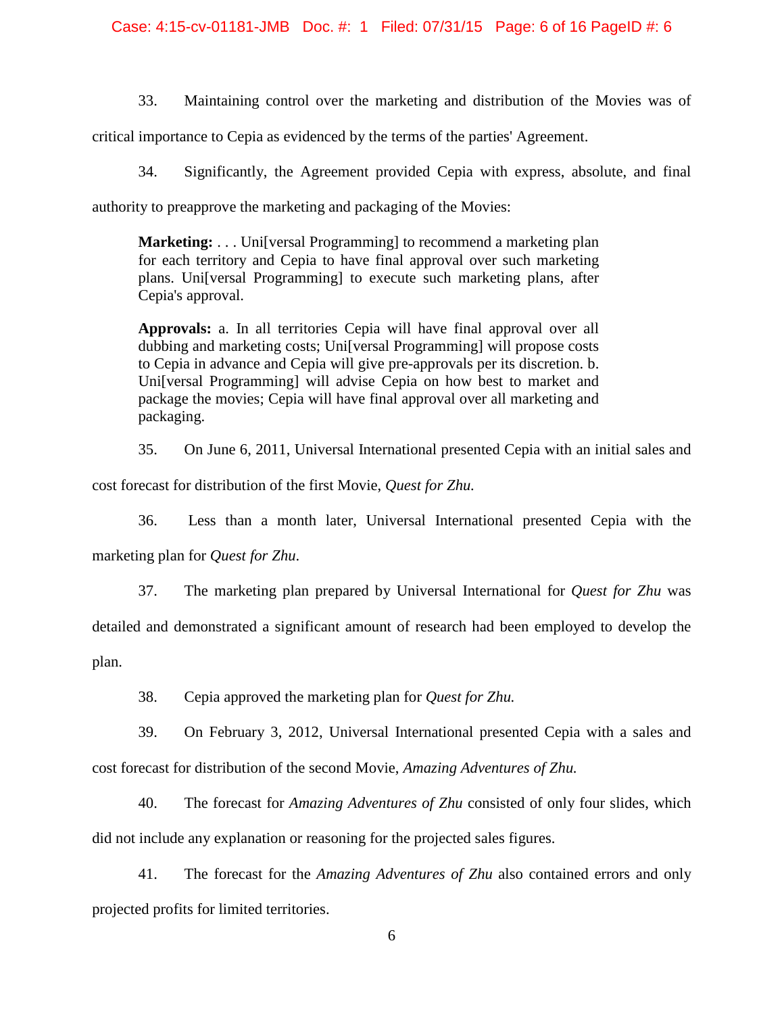Case: 4:15-cv-01181-JMB Doc. #: 1 Filed: 07/31/15 Page: 6 of 16 PageID #: 6

33. Maintaining control over the marketing and distribution of the Movies was of

critical importance to Cepia as evidenced by the terms of the parties' Agreement.

34. Significantly, the Agreement provided Cepia with express, absolute, and final

authority to preapprove the marketing and packaging of the Movies:

**Marketing:** . . . Universal Programming to recommend a marketing plan for each territory and Cepia to have final approval over such marketing plans. Uni[versal Programming] to execute such marketing plans, after Cepia's approval.

**Approvals:** a. In all territories Cepia will have final approval over all dubbing and marketing costs; Uni[versal Programming] will propose costs to Cepia in advance and Cepia will give pre-approvals per its discretion. b. Uni[versal Programming] will advise Cepia on how best to market and package the movies; Cepia will have final approval over all marketing and packaging.

35. On June 6, 2011, Universal International presented Cepia with an initial sales and

cost forecast for distribution of the first Movie, *Quest for Zhu.* 

36. Less than a month later, Universal International presented Cepia with the marketing plan for *Quest for Zhu*.

37. The marketing plan prepared by Universal International for *Quest for Zhu* was

detailed and demonstrated a significant amount of research had been employed to develop the

plan.

38. Cepia approved the marketing plan for *Quest for Zhu.*

39. On February 3, 2012, Universal International presented Cepia with a sales and cost forecast for distribution of the second Movie, *Amazing Adventures of Zhu.*

40. The forecast for *Amazing Adventures of Zhu* consisted of only four slides, which did not include any explanation or reasoning for the projected sales figures.

41. The forecast for the *Amazing Adventures of Zhu* also contained errors and only projected profits for limited territories.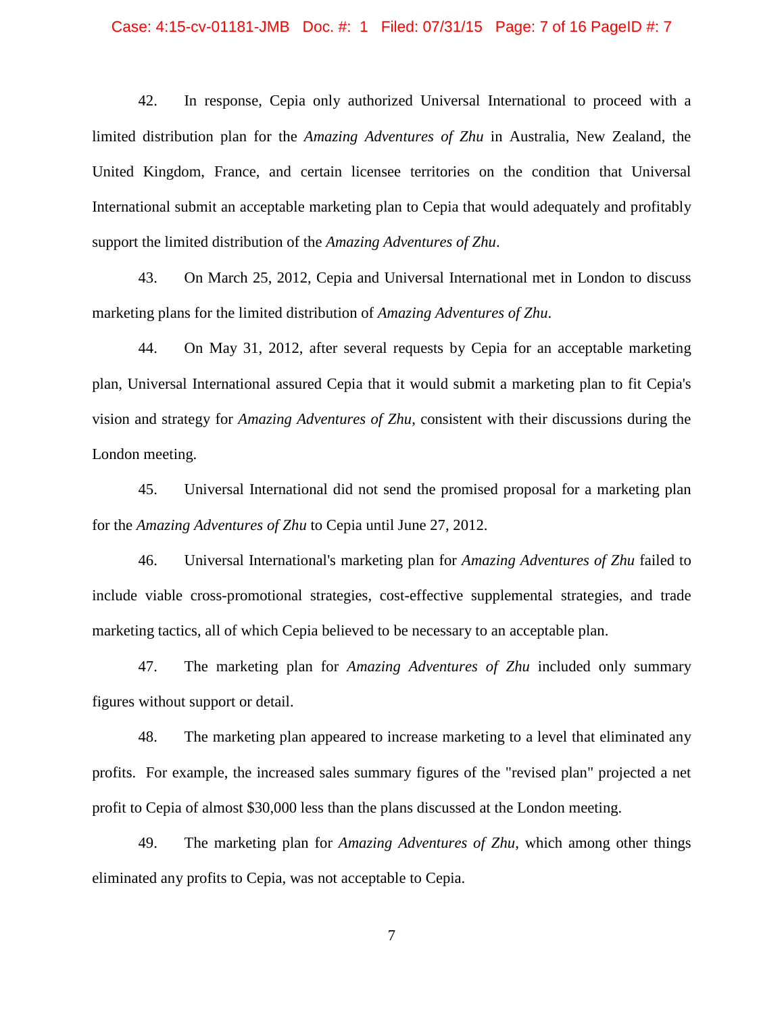### Case: 4:15-cv-01181-JMB Doc. #: 1 Filed: 07/31/15 Page: 7 of 16 PageID #: 7

42. In response, Cepia only authorized Universal International to proceed with a limited distribution plan for the *Amazing Adventures of Zhu* in Australia, New Zealand, the United Kingdom, France, and certain licensee territories on the condition that Universal International submit an acceptable marketing plan to Cepia that would adequately and profitably support the limited distribution of the *Amazing Adventures of Zhu*.

43. On March 25, 2012, Cepia and Universal International met in London to discuss marketing plans for the limited distribution of *Amazing Adventures of Zhu*.

44. On May 31, 2012, after several requests by Cepia for an acceptable marketing plan, Universal International assured Cepia that it would submit a marketing plan to fit Cepia's vision and strategy for *Amazing Adventures of Zhu*, consistent with their discussions during the London meeting.

45. Universal International did not send the promised proposal for a marketing plan for the *Amazing Adventures of Zhu* to Cepia until June 27, 2012.

46. Universal International's marketing plan for *Amazing Adventures of Zhu* failed to include viable cross-promotional strategies, cost-effective supplemental strategies, and trade marketing tactics, all of which Cepia believed to be necessary to an acceptable plan.

47. The marketing plan for *Amazing Adventures of Zhu* included only summary figures without support or detail.

48. The marketing plan appeared to increase marketing to a level that eliminated any profits. For example, the increased sales summary figures of the "revised plan" projected a net profit to Cepia of almost \$30,000 less than the plans discussed at the London meeting.

49. The marketing plan for *Amazing Adventures of Zhu*, which among other things eliminated any profits to Cepia, was not acceptable to Cepia.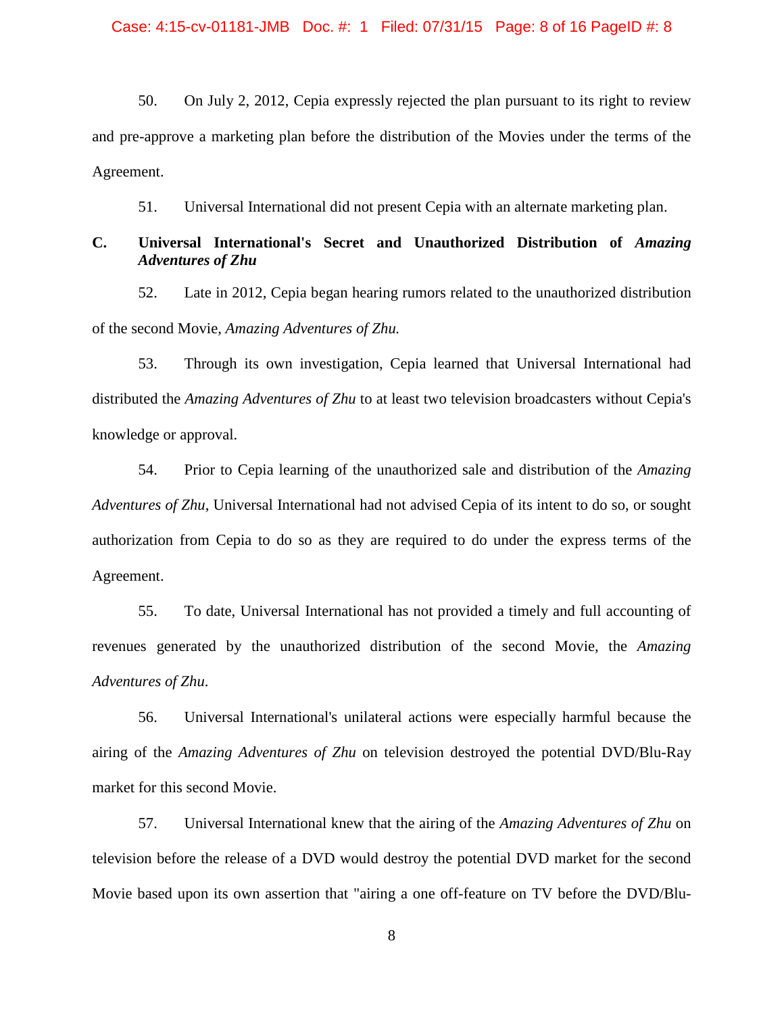50. On July 2, 2012, Cepia expressly rejected the plan pursuant to its right to review and pre-approve a marketing plan before the distribution of the Movies under the terms of the Agreement.

51. Universal International did not present Cepia with an alternate marketing plan.

# **C. Universal International's Secret and Unauthorized Distribution of** *Amazing Adventures of Zhu*

52. Late in 2012, Cepia began hearing rumors related to the unauthorized distribution of the second Movie, *Amazing Adventures of Zhu.*

53. Through its own investigation, Cepia learned that Universal International had distributed the *Amazing Adventures of Zhu* to at least two television broadcasters without Cepia's knowledge or approval.

54. Prior to Cepia learning of the unauthorized sale and distribution of the *Amazing Adventures of Zhu*, Universal International had not advised Cepia of its intent to do so, or sought authorization from Cepia to do so as they are required to do under the express terms of the Agreement.

55. To date, Universal International has not provided a timely and full accounting of revenues generated by the unauthorized distribution of the second Movie, the *Amazing Adventures of Zhu*.

56. Universal International's unilateral actions were especially harmful because the airing of the *Amazing Adventures of Zhu* on television destroyed the potential DVD/Blu-Ray market for this second Movie.

57. Universal International knew that the airing of the *Amazing Adventures of Zhu* on television before the release of a DVD would destroy the potential DVD market for the second Movie based upon its own assertion that "airing a one off-feature on TV before the DVD/Blu-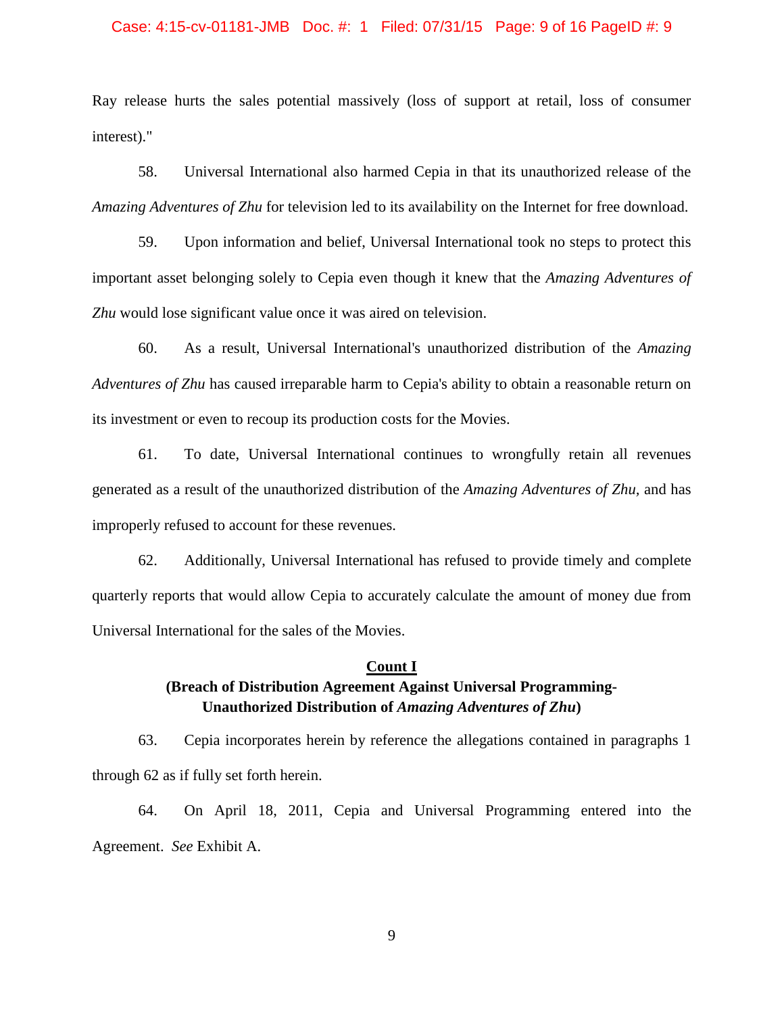### Case: 4:15-cv-01181-JMB Doc. #: 1 Filed: 07/31/15 Page: 9 of 16 PageID #: 9

Ray release hurts the sales potential massively (loss of support at retail, loss of consumer interest)."

58. Universal International also harmed Cepia in that its unauthorized release of the *Amazing Adventures of Zhu* for television led to its availability on the Internet for free download.

59. Upon information and belief, Universal International took no steps to protect this important asset belonging solely to Cepia even though it knew that the *Amazing Adventures of Zhu* would lose significant value once it was aired on television.

60. As a result, Universal International's unauthorized distribution of the *Amazing Adventures of Zhu* has caused irreparable harm to Cepia's ability to obtain a reasonable return on its investment or even to recoup its production costs for the Movies.

61. To date, Universal International continues to wrongfully retain all revenues generated as a result of the unauthorized distribution of the *Amazing Adventures of Zhu,* and has improperly refused to account for these revenues.

62. Additionally, Universal International has refused to provide timely and complete quarterly reports that would allow Cepia to accurately calculate the amount of money due from Universal International for the sales of the Movies.

# **Count I (Breach of Distribution Agreement Against Universal Programming-Unauthorized Distribution of** *Amazing Adventures of Zhu***)**

63. Cepia incorporates herein by reference the allegations contained in paragraphs 1 through 62 as if fully set forth herein.

64. On April 18, 2011, Cepia and Universal Programming entered into the Agreement. *See* Exhibit A.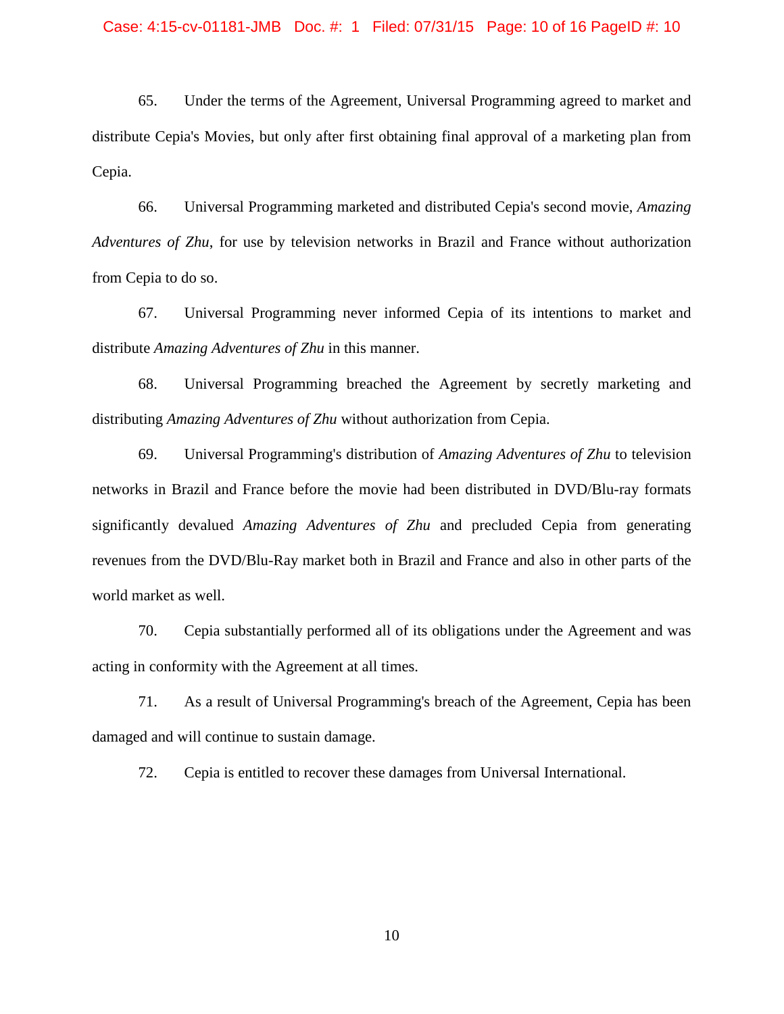### Case: 4:15-cv-01181-JMB Doc. #: 1 Filed: 07/31/15 Page: 10 of 16 PageID #: 10

65. Under the terms of the Agreement, Universal Programming agreed to market and distribute Cepia's Movies, but only after first obtaining final approval of a marketing plan from Cepia.

66. Universal Programming marketed and distributed Cepia's second movie, *Amazing Adventures of Zhu*, for use by television networks in Brazil and France without authorization from Cepia to do so.

67. Universal Programming never informed Cepia of its intentions to market and distribute *Amazing Adventures of Zhu* in this manner.

68. Universal Programming breached the Agreement by secretly marketing and distributing *Amazing Adventures of Zhu* without authorization from Cepia.

69. Universal Programming's distribution of *Amazing Adventures of Zhu* to television networks in Brazil and France before the movie had been distributed in DVD/Blu-ray formats significantly devalued *Amazing Adventures of Zhu* and precluded Cepia from generating revenues from the DVD/Blu-Ray market both in Brazil and France and also in other parts of the world market as well.

70. Cepia substantially performed all of its obligations under the Agreement and was acting in conformity with the Agreement at all times.

71. As a result of Universal Programming's breach of the Agreement, Cepia has been damaged and will continue to sustain damage.

72. Cepia is entitled to recover these damages from Universal International.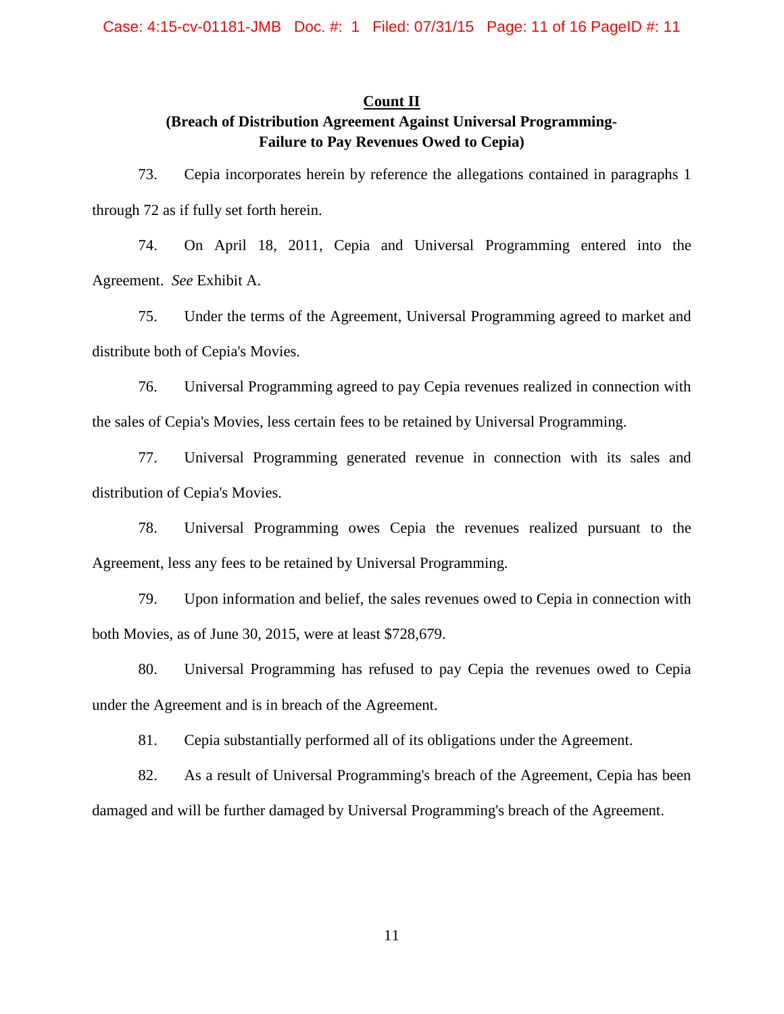# **Count II**

# **(Breach of Distribution Agreement Against Universal Programming-Failure to Pay Revenues Owed to Cepia)**

73. Cepia incorporates herein by reference the allegations contained in paragraphs 1 through 72 as if fully set forth herein.

74. On April 18, 2011, Cepia and Universal Programming entered into the Agreement. *See* Exhibit A.

75. Under the terms of the Agreement, Universal Programming agreed to market and distribute both of Cepia's Movies.

76. Universal Programming agreed to pay Cepia revenues realized in connection with the sales of Cepia's Movies, less certain fees to be retained by Universal Programming.

77. Universal Programming generated revenue in connection with its sales and distribution of Cepia's Movies.

78. Universal Programming owes Cepia the revenues realized pursuant to the Agreement, less any fees to be retained by Universal Programming.

79. Upon information and belief, the sales revenues owed to Cepia in connection with both Movies, as of June 30, 2015, were at least \$728,679.

80. Universal Programming has refused to pay Cepia the revenues owed to Cepia under the Agreement and is in breach of the Agreement.

81. Cepia substantially performed all of its obligations under the Agreement.

82. As a result of Universal Programming's breach of the Agreement, Cepia has been damaged and will be further damaged by Universal Programming's breach of the Agreement.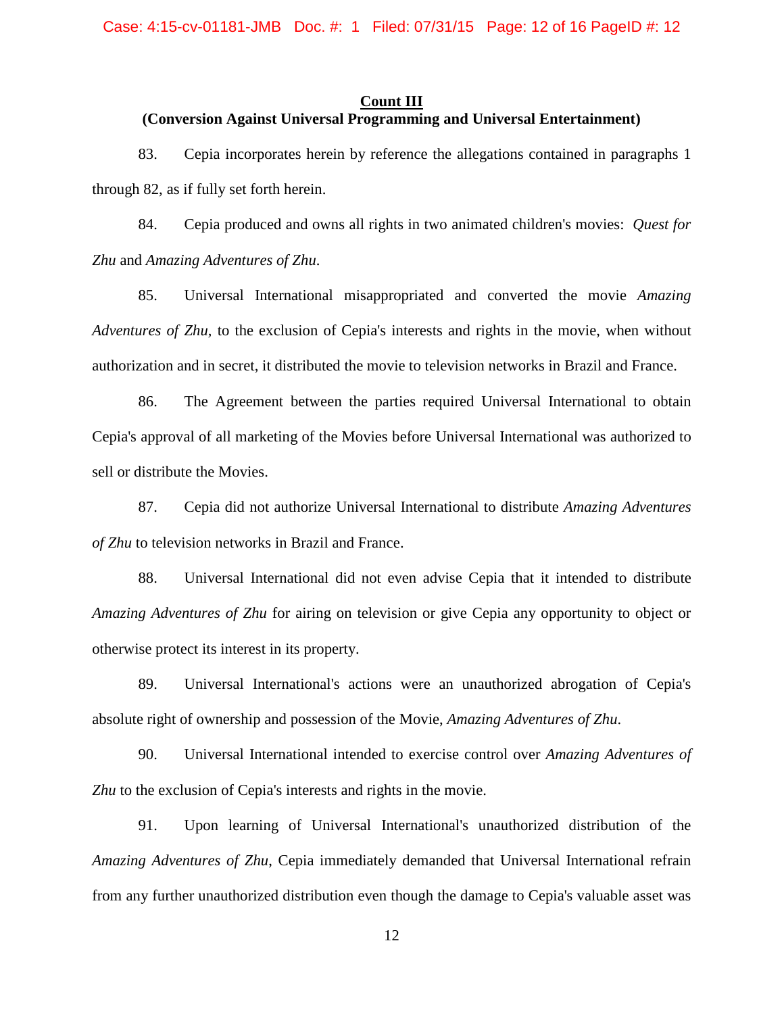### **Count III**

## **(Conversion Against Universal Programming and Universal Entertainment)**

83. Cepia incorporates herein by reference the allegations contained in paragraphs 1 through 82, as if fully set forth herein.

84. Cepia produced and owns all rights in two animated children's movies: *Quest for Zhu* and *Amazing Adventures of Zhu*.

85. Universal International misappropriated and converted the movie *Amazing Adventures of Zhu,* to the exclusion of Cepia's interests and rights in the movie, when without authorization and in secret, it distributed the movie to television networks in Brazil and France.

86. The Agreement between the parties required Universal International to obtain Cepia's approval of all marketing of the Movies before Universal International was authorized to sell or distribute the Movies.

87. Cepia did not authorize Universal International to distribute *Amazing Adventures of Zhu* to television networks in Brazil and France.

88. Universal International did not even advise Cepia that it intended to distribute *Amazing Adventures of Zhu* for airing on television or give Cepia any opportunity to object or otherwise protect its interest in its property.

89. Universal International's actions were an unauthorized abrogation of Cepia's absolute right of ownership and possession of the Movie, *Amazing Adventures of Zhu*.

90. Universal International intended to exercise control over *Amazing Adventures of Zhu* to the exclusion of Cepia's interests and rights in the movie.

91. Upon learning of Universal International's unauthorized distribution of the *Amazing Adventures of Zhu*, Cepia immediately demanded that Universal International refrain from any further unauthorized distribution even though the damage to Cepia's valuable asset was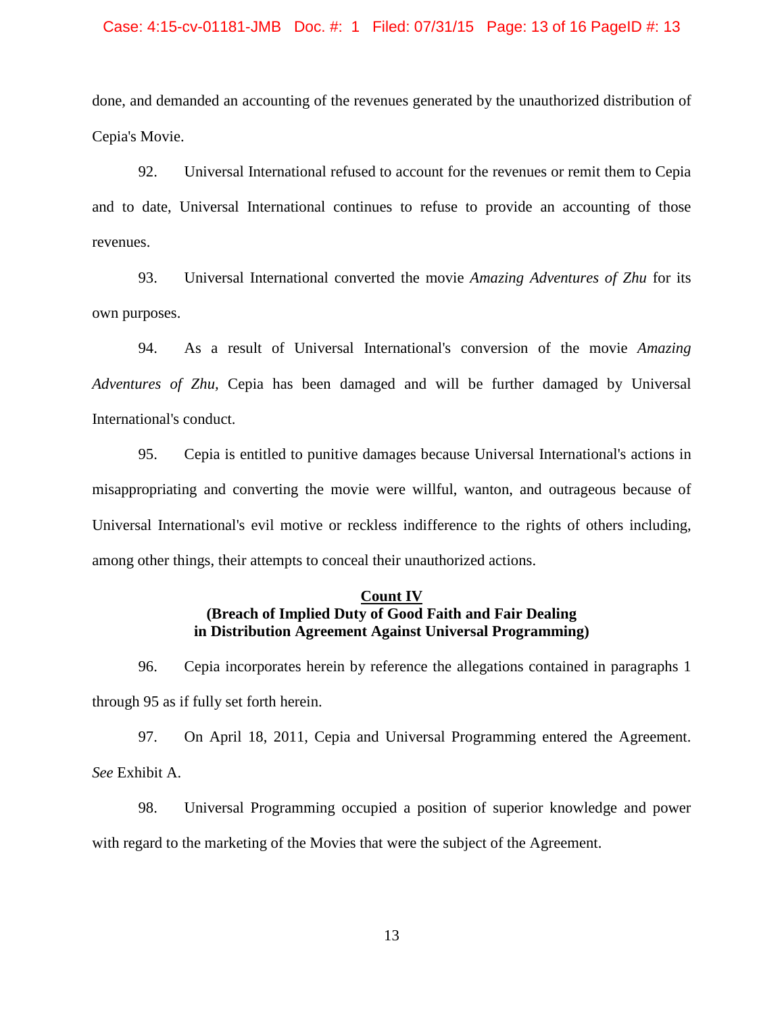### Case: 4:15-cv-01181-JMB Doc. #: 1 Filed: 07/31/15 Page: 13 of 16 PageID #: 13

done, and demanded an accounting of the revenues generated by the unauthorized distribution of Cepia's Movie.

92. Universal International refused to account for the revenues or remit them to Cepia and to date, Universal International continues to refuse to provide an accounting of those revenues.

93. Universal International converted the movie *Amazing Adventures of Zhu* for its own purposes.

94. As a result of Universal International's conversion of the movie *Amazing Adventures of Zhu,* Cepia has been damaged and will be further damaged by Universal International's conduct.

95. Cepia is entitled to punitive damages because Universal International's actions in misappropriating and converting the movie were willful, wanton, and outrageous because of Universal International's evil motive or reckless indifference to the rights of others including, among other things, their attempts to conceal their unauthorized actions.

# **Count IV (Breach of Implied Duty of Good Faith and Fair Dealing in Distribution Agreement Against Universal Programming)**

96. Cepia incorporates herein by reference the allegations contained in paragraphs 1 through 95 as if fully set forth herein.

97. On April 18, 2011, Cepia and Universal Programming entered the Agreement. *See* Exhibit A.

98. Universal Programming occupied a position of superior knowledge and power with regard to the marketing of the Movies that were the subject of the Agreement.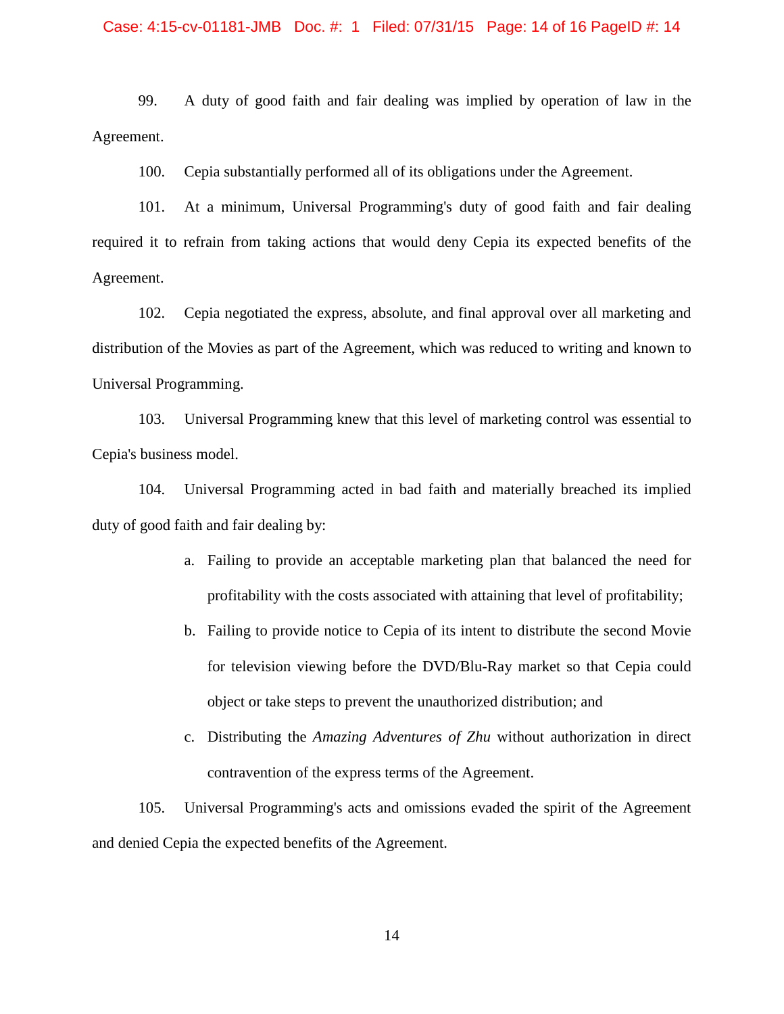### Case: 4:15-cv-01181-JMB Doc. #: 1 Filed: 07/31/15 Page: 14 of 16 PageID #: 14

99. A duty of good faith and fair dealing was implied by operation of law in the Agreement.

100. Cepia substantially performed all of its obligations under the Agreement.

101. At a minimum, Universal Programming's duty of good faith and fair dealing required it to refrain from taking actions that would deny Cepia its expected benefits of the Agreement.

102. Cepia negotiated the express, absolute, and final approval over all marketing and distribution of the Movies as part of the Agreement, which was reduced to writing and known to Universal Programming.

103. Universal Programming knew that this level of marketing control was essential to Cepia's business model.

104. Universal Programming acted in bad faith and materially breached its implied duty of good faith and fair dealing by:

- a. Failing to provide an acceptable marketing plan that balanced the need for profitability with the costs associated with attaining that level of profitability;
- b. Failing to provide notice to Cepia of its intent to distribute the second Movie for television viewing before the DVD/Blu-Ray market so that Cepia could object or take steps to prevent the unauthorized distribution; and
- c. Distributing the *Amazing Adventures of Zhu* without authorization in direct contravention of the express terms of the Agreement.

105. Universal Programming's acts and omissions evaded the spirit of the Agreement and denied Cepia the expected benefits of the Agreement.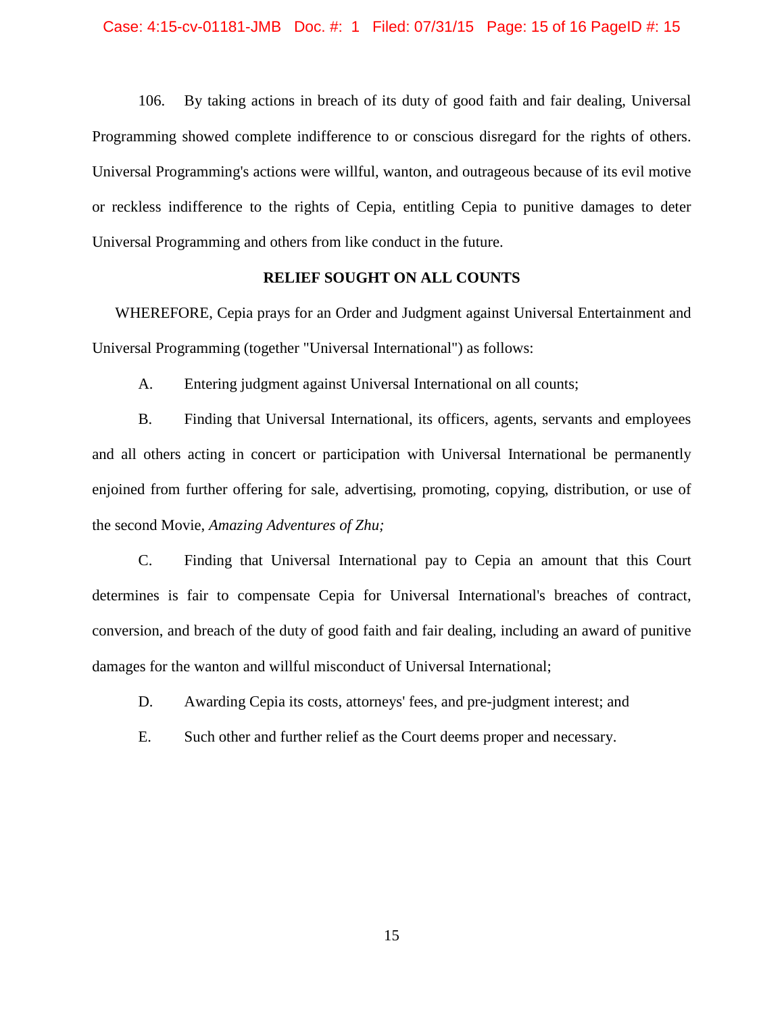106. By taking actions in breach of its duty of good faith and fair dealing, Universal Programming showed complete indifference to or conscious disregard for the rights of others. Universal Programming's actions were willful, wanton, and outrageous because of its evil motive or reckless indifference to the rights of Cepia, entitling Cepia to punitive damages to deter Universal Programming and others from like conduct in the future.

## **RELIEF SOUGHT ON ALL COUNTS**

WHEREFORE, Cepia prays for an Order and Judgment against Universal Entertainment and Universal Programming (together "Universal International") as follows:

A. Entering judgment against Universal International on all counts;

B. Finding that Universal International, its officers, agents, servants and employees and all others acting in concert or participation with Universal International be permanently enjoined from further offering for sale, advertising, promoting, copying, distribution, or use of the second Movie, *Amazing Adventures of Zhu;*

C. Finding that Universal International pay to Cepia an amount that this Court determines is fair to compensate Cepia for Universal International's breaches of contract, conversion, and breach of the duty of good faith and fair dealing, including an award of punitive damages for the wanton and willful misconduct of Universal International;

D. Awarding Cepia its costs, attorneys' fees, and pre-judgment interest; and

E. Such other and further relief as the Court deems proper and necessary.